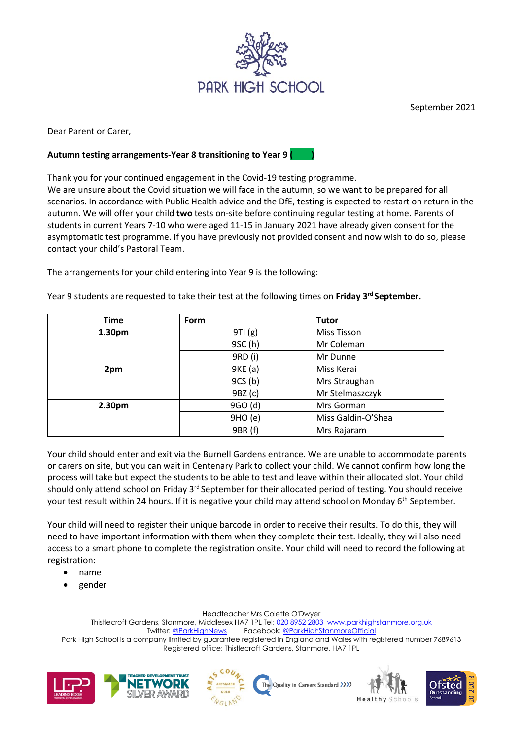

September 2021

Dear Parent or Carer,

## **Autumn testing arrangements-Year 8 transitioning to Year 9 ( )**

Thank you for your continued engagement in the Covid-19 testing programme.

We are unsure about the Covid situation we will face in the autumn, so we want to be prepared for all scenarios. In accordance with Public Health advice and the DfE, testing is expected to restart on return in the autumn. We will offer your child **two** tests on-site before continuing regular testing at home. Parents of students in current Years 7-10 who were aged 11-15 in January 2021 have already given consent for the asymptomatic test programme. If you have previously not provided consent and now wish to do so, please contact your child's Pastoral Team.

The arrangements for your child entering into Year 9 is the following:

| <b>Time</b> | Form    | <b>Tutor</b>       |
|-------------|---------|--------------------|
| 1.30pm      | 9TI (g) | Miss Tisson        |
|             | 9SC (h) | Mr Coleman         |
|             | 9RD (i) | Mr Dunne           |
| 2pm         | 9KE (a) | Miss Kerai         |
|             | 9CS(b)  | Mrs Straughan      |
|             | 9BZ (c) | Mr Stelmaszczyk    |
| 2.30pm      | 9GO (d) | Mrs Gorman         |
|             | 9HO (e) | Miss Galdin-O'Shea |
|             | 9BR (f) | Mrs Rajaram        |

Year 9 students are requested to take their test at the following times on **Friday 3rd September.** 

Your child should enter and exit via the Burnell Gardens entrance. We are unable to accommodate parents or carers on site, but you can wait in Centenary Park to collect your child. We cannot confirm how long the process will take but expect the students to be able to test and leave within their allocated slot. Your child should only attend school on Friday 3<sup>rd</sup> September for their allocated period of testing. You should receive your test result within 24 hours. If it is negative your child may attend school on Monday 6<sup>th</sup> September.

Your child will need to register their unique barcode in order to receive their results. To do this, they will need to have important information with them when they complete their test. Ideally, they will also need access to a smart phone to complete the registration onsite. Your child will need to record the following at registration:

- name
- gender

Headteacher Mrs Colette O'Dwyer

Thistlecroft Gardens, Stanmore, Middlesex HA7 1PL Tel: [020 8952 2803](file://///phs-apps-06/Digital$/Templates/020%208952%202803) [www.parkhighstanmore.org.uk](file://///phs-apps-06/Digital$/Templates/www.parkhighstanmore.org.uk) Twitter[: @ParkHighNews](https://twitter.com/ParkHighNews) Facebook[: @ParkHighStanmoreOfficial](https://www.facebook.com/pg/ParkHighStanmoreOfficial) Park High School is a company limited by guarantee registered in England and Wales with registered number 7689613 Registered office: Thistlecroft Gardens, Stanmore, HA7 1PL